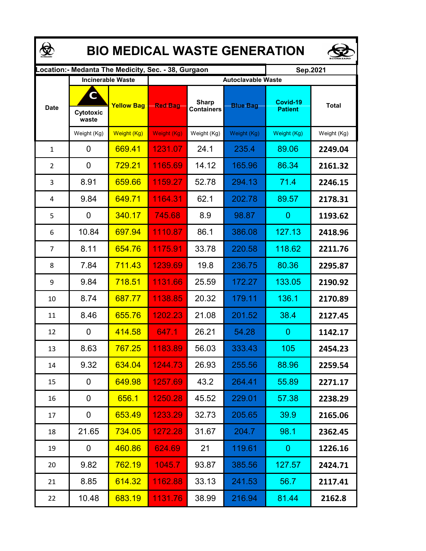| <b>BIO MEDICAL WASTE GENERATION</b> |                         |                          |                                                      |                                   |                 |                            |              |  |  |  |  |
|-------------------------------------|-------------------------|--------------------------|------------------------------------------------------|-----------------------------------|-----------------|----------------------------|--------------|--|--|--|--|
|                                     |                         |                          | ocation: - Medanta The Medicity, Sec. - 38, Gurgaon. |                                   |                 | Sep.2021                   |              |  |  |  |  |
|                                     |                         | <b>Incinerable Waste</b> | <b>Autoclavable Waste</b>                            |                                   |                 |                            |              |  |  |  |  |
| <b>Date</b>                         | C<br>Cytotoxic<br>waste | <b>Yellow Bag</b>        | <b>Red Bag</b>                                       | <b>Sharp</b><br><b>Containers</b> | <b>Blue Bag</b> | Covid-19<br><b>Patient</b> | <b>Total</b> |  |  |  |  |
|                                     | Weight (Kg)             | Weight (Kg)              | Weight (Kg)                                          | Weight (Kg)                       | Weight (Kg)     | Weight (Kg)                | Weight (Kg)  |  |  |  |  |
| $\mathbf{1}$                        | 0                       | 669.41                   | 1231.07                                              | 24.1                              | 235.4           | 89.06                      | 2249.04      |  |  |  |  |
| 2                                   | 0                       | 729.21                   | 1165.69                                              | 14.12                             | 165.96          | 86.34                      | 2161.32      |  |  |  |  |
| 3                                   | 8.91                    | 659.66                   | 1159.27                                              | 52.78                             | 294.13          | 71.4                       | 2246.15      |  |  |  |  |
| 4                                   | 9.84                    | 649.71                   | 1164.31                                              | 62.1                              | 202.78          | 89.57                      | 2178.31      |  |  |  |  |
| 5                                   | 0                       | 340.17                   | 745.68                                               | 8.9                               | 98.87           | $\overline{0}$             | 1193.62      |  |  |  |  |
| 6                                   | 10.84                   | 697.94                   | 1110.87                                              | 86.1                              | 386.08          | 127.13                     | 2418.96      |  |  |  |  |
| 7                                   | 8.11                    | 654.76                   | 1175.91                                              | 33.78                             | 220.58          | 118.62                     | 2211.76      |  |  |  |  |
| 8                                   | 7.84                    | 711.43                   | 1239.69                                              | 19.8                              | 236.75          | 80.36                      | 2295.87      |  |  |  |  |
| 9                                   | 9.84                    | 718.51                   | 1131.66                                              | 25.59                             | 172.27          | 133.05                     | 2190.92      |  |  |  |  |
| 10                                  | 8.74                    | 687.77                   | 1138.85                                              | 20.32                             | 179.11          | 136.1                      | 2170.89      |  |  |  |  |
| 11                                  | 8.46                    | 655.76                   | 1202.23                                              | 21.08                             | 201.52          | 38.4                       | 2127.45      |  |  |  |  |
| 12                                  | 0                       | 414.58                   | 647.1                                                | 26.21                             | 54.28           | 0                          | 1142.17      |  |  |  |  |
| 13                                  | 8.63                    | <u>767.25</u>            | 1183.89                                              | 56.03                             | 333.43          | 105                        | 2454.23      |  |  |  |  |
| 14                                  | 9.32                    | 634.04                   | 1244.73                                              | 26.93                             | 255.56          | 88.96                      | 2259.54      |  |  |  |  |
| 15                                  | 0                       | 649.98                   | 1257.69                                              | 43.2                              | 264.41          | 55.89                      | 2271.17      |  |  |  |  |
| 16                                  | 0                       | 656.1                    | 1250.28                                              | 45.52                             | 229.01          | 57.38                      | 2238.29      |  |  |  |  |
| 17                                  | 0                       | 653.49                   | 1233.29                                              | 32.73                             | 205.65          | 39.9                       | 2165.06      |  |  |  |  |
| 18                                  | 21.65                   | 734.05                   | 1272.28                                              | 31.67                             | 204.7           | 98.1                       | 2362.45      |  |  |  |  |
| 19                                  | 0                       | 460.86                   | 624.69                                               | 21                                | 119.61          | $\mathbf{0}$               | 1226.16      |  |  |  |  |
| 20                                  | 9.82                    | <u>762.19</u>            | 1045.7                                               | 93.87                             | 385.56          | 127.57                     | 2424.71      |  |  |  |  |
| 21                                  | 8.85                    | <u>614.32</u>            | 1162.88                                              | 33.13                             | 241.53          | 56.7                       | 2117.41      |  |  |  |  |
| 22                                  | 10.48                   | 683.19                   | 1131.76                                              | 38.99                             | 216.94          | 81.44                      | 2162.8       |  |  |  |  |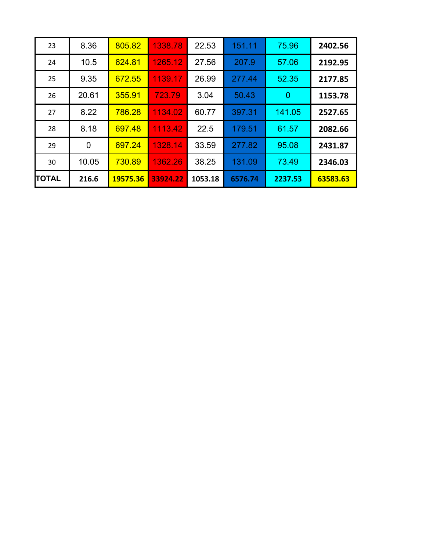| 23           | 8.36  | 805.82   | 1338.78  | 22.53   | 151.11  | 75.96          | 2402.56  |
|--------------|-------|----------|----------|---------|---------|----------------|----------|
| 24           | 10.5  | 624.81   | 1265.12  | 27.56   | 207.9   | 57.06          | 2192.95  |
| 25           | 9.35  | 672.55   | 1139.17  | 26.99   | 277.44  | 52.35          | 2177.85  |
| 26           | 20.61 | 355.91   | 723.79   | 3.04    | 50.43   | $\overline{0}$ | 1153.78  |
| 27           | 8.22  | 786.28   | 1134.02  | 60.77   | 397.31  | 141.05         | 2527.65  |
| 28           | 8.18  | 697.48   | 1113.42  | 22.5    | 179.51  | 61.57          | 2082.66  |
| 29           | 0     | 697.24   | 1328.14  | 33.59   | 277.82  | 95.08          | 2431.87  |
| 30           | 10.05 | 730.89   | 1362.26  | 38.25   | 131.09  | 73.49          | 2346.03  |
| <b>TOTAL</b> | 216.6 | 19575.36 | 33924.22 | 1053.18 | 6576.74 | 2237.53        | 63583.63 |